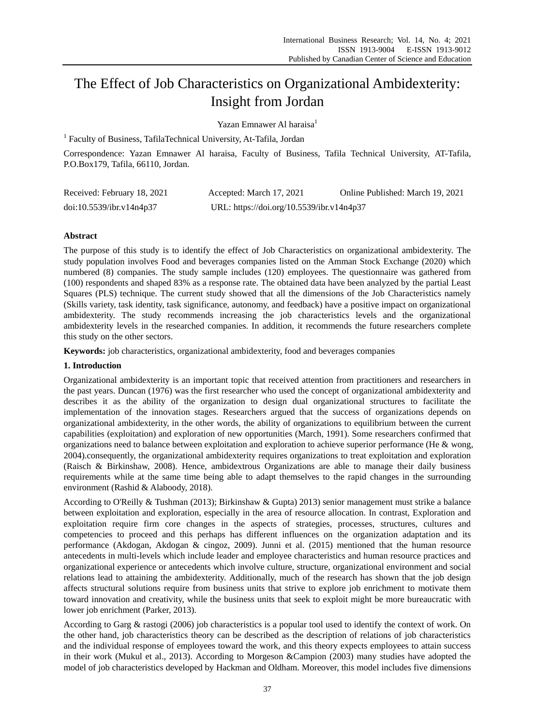# The Effect of Job Characteristics on Organizational Ambidexterity: Insight from Jordan

Yazan Emnawer Al haraisa<sup>1</sup>

<sup>1</sup> Faculty of Business, TafilaTechnical University, At-Tafila, Jordan

Correspondence: Yazan Emnawer Al haraisa, Faculty of Business, Tafila Technical University, AT-Tafila, P.O.Box179, Tafila, 66110, Jordan.

| Received: February 18, 2021 | Accepted: March 17, 2021                  | Online Published: March 19, 2021 |
|-----------------------------|-------------------------------------------|----------------------------------|
| doi:10.5539/ibr.v14n4p37    | URL: https://doi.org/10.5539/ibr.v14n4p37 |                                  |

# **Abstract**

The purpose of this study is to identify the effect of Job Characteristics on organizational ambidexterity. The study population involves Food and beverages companies listed on the Amman Stock Exchange (2020) which numbered (8) companies. The study sample includes (120) employees. The questionnaire was gathered from (100) respondents and shaped 83% as a response rate. The obtained data have been analyzed by the partial Least Squares (PLS) technique. The current study showed that all the dimensions of the Job Characteristics namely (Skills variety, task identity, task significance, autonomy, and feedback) have a positive impact on organizational ambidexterity. The study recommends increasing the job characteristics levels and the organizational ambidexterity levels in the researched companies. In addition, it recommends the future researchers complete this study on the other sectors.

**Keywords:** job characteristics, organizational ambidexterity, food and beverages companies

## **1. Introduction**

Organizational ambidexterity is an important topic that received attention from practitioners and researchers in the past years. Duncan (1976) was the first researcher who used the concept of organizational ambidexterity and describes it as the ability of the organization to design dual organizational structures to facilitate the implementation of the innovation stages. Researchers argued that the success of organizations depends on organizational ambidexterity, in the other words, the ability of organizations to equilibrium between the current capabilities (exploitation) and exploration of new opportunities (March, 1991). Some researchers confirmed that organizations need to balance between exploitation and exploration to achieve superior performance (He & wong, 2004).consequently, the organizational ambidexterity requires organizations to treat exploitation and exploration (Raisch & Birkinshaw, 2008). Hence, ambidextrous Organizations are able to manage their daily business requirements while at the same time being able to adapt themselves to the rapid changes in the surrounding environment (Rashid & Alaboody, 2018).

According to O'Reilly & Tushman (2013); Birkinshaw & Gupta) 2013) senior management must strike a balance between exploitation and exploration, especially in the area of resource allocation. In contrast, Exploration and exploitation require firm core changes in the aspects of strategies, processes, structures, cultures and competencies to proceed and this perhaps has different influences on the organization adaptation and its performance (Akdogan, Akdogan & cingoz, 2009). Junni et al. (2015) mentioned that the human resource antecedents in multi-levels which include leader and employee characteristics and human resource practices and organizational experience or antecedents which involve culture, structure, organizational environment and social relations lead to attaining the ambidexterity. Additionally, much of the research has shown that the job design affects structural solutions require from business units that strive to explore job enrichment to motivate them toward innovation and creativity, while the business units that seek to exploit might be more bureaucratic with lower job enrichment (Parker, 2013).

According to Garg & rastogi (2006) job characteristics is a popular tool used to identify the context of work. On the other hand, job characteristics theory can be described as the description of relations of job characteristics and the individual response of employees toward the work, and this theory expects employees to attain success in their work (Mukul et al., 2013). According to Morgeson &Campion (2003) many studies have adopted the model of job characteristics developed by Hackman and Oldham. Moreover, this model includes five dimensions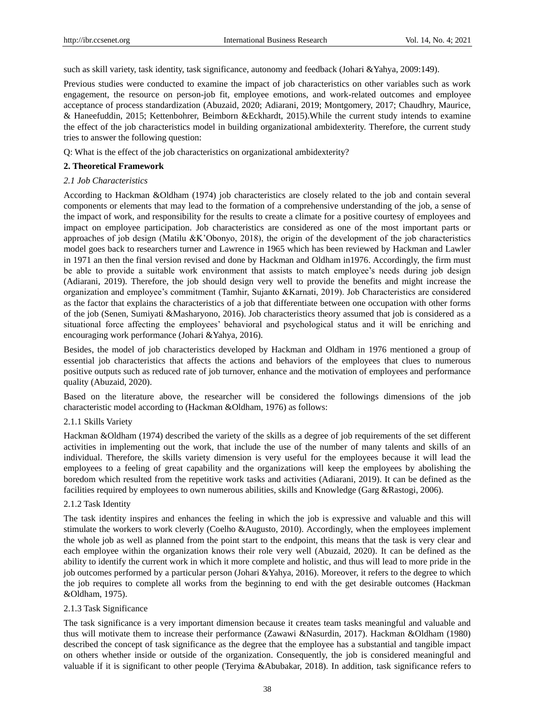such as skill variety, task identity, task significance, autonomy and feedback (Johari &Yahya, 2009:149).

Previous studies were conducted to examine the impact of job characteristics on other variables such as work engagement, the resource on person-job fit, employee emotions, and work-related outcomes and employee acceptance of process standardization (Abuzaid, 2020; Adiarani, 2019; Montgomery, 2017; Chaudhry, Maurice, & Haneefuddin, 2015; Kettenbohrer, Beimborn &Eckhardt, 2015).While the current study intends to examine the effect of the job characteristics model in building organizational ambidexterity. Therefore, the current study tries to answer the following question:

Q: What is the effect of the job characteristics on organizational ambidexterity?

#### **2. Theoretical Framework**

#### *2.1 Job Characteristics*

According to Hackman &Oldham (1974) job characteristics are closely related to the job and contain several components or elements that may lead to the formation of a comprehensive understanding of the job, a sense of the impact of work, and responsibility for the results to create a climate for a positive courtesy of employees and impact on employee participation. Job characteristics are considered as one of the most important parts or approaches of job design (Matilu &K'Obonyo, 2018), the origin of the development of the job characteristics model goes back to researchers turner and Lawrence in 1965 which has been reviewed by Hackman and Lawler in 1971 an then the final version revised and done by Hackman and Oldham in1976. Accordingly, the firm must be able to provide a suitable work environment that assists to match employee's needs during job design (Adiarani, 2019). Therefore, the job should design very well to provide the benefits and might increase the organization and employee's commitment (Tamhir, Sujanto &Karnati, 2019). Job Characteristics are considered as the factor that explains the characteristics of a job that differentiate between one occupation with other forms of the job (Senen, Sumiyati &Masharyono, 2016). Job characteristics theory assumed that job is considered as a situational force affecting the employees' behavioral and psychological status and it will be enriching and encouraging work performance (Johari &Yahya, 2016).

Besides, the model of job characteristics developed by Hackman and Oldham in 1976 mentioned a group of essential job characteristics that affects the actions and behaviors of the employees that clues to numerous positive outputs such as reduced rate of job turnover, enhance and the motivation of employees and performance quality (Abuzaid, 2020).

Based on the literature above, the researcher will be considered the followings dimensions of the job characteristic model according to (Hackman &Oldham, 1976) as follows:

## 2.1.1 Skills Variety

Hackman &Oldham (1974) described the variety of the skills as a degree of job requirements of the set different activities in implementing out the work, that include the use of the number of many talents and skills of an individual. Therefore, the skills variety dimension is very useful for the employees because it will lead the employees to a feeling of great capability and the organizations will keep the employees by abolishing the boredom which resulted from the repetitive work tasks and activities (Adiarani, 2019). It can be defined as the facilities required by employees to own numerous abilities, skills and Knowledge (Garg &Rastogi, 2006).

## 2.1.2 Task Identity

The task identity inspires and enhances the feeling in which the job is expressive and valuable and this will stimulate the workers to work cleverly (Coelho &Augusto, 2010). Accordingly, when the employees implement the whole job as well as planned from the point start to the endpoint, this means that the task is very clear and each employee within the organization knows their role very well (Abuzaid, 2020). It can be defined as the ability to identify the current work in which it more complete and holistic, and thus will lead to more pride in the job outcomes performed by a particular person (Johari &Yahya, 2016). Moreover, it refers to the degree to which the job requires to complete all works from the beginning to end with the get desirable outcomes (Hackman &Oldham, 1975).

#### 2.1.3 Task Significance

The task significance is a very important dimension because it creates team tasks meaningful and valuable and thus will motivate them to increase their performance (Zawawi &Nasurdin, 2017). Hackman &Oldham (1980) described the concept of task significance as the degree that the employee has a substantial and tangible impact on others whether inside or outside of the organization. Consequently, the job is considered meaningful and valuable if it is significant to other people (Teryima &Abubakar, 2018). In addition, task significance refers to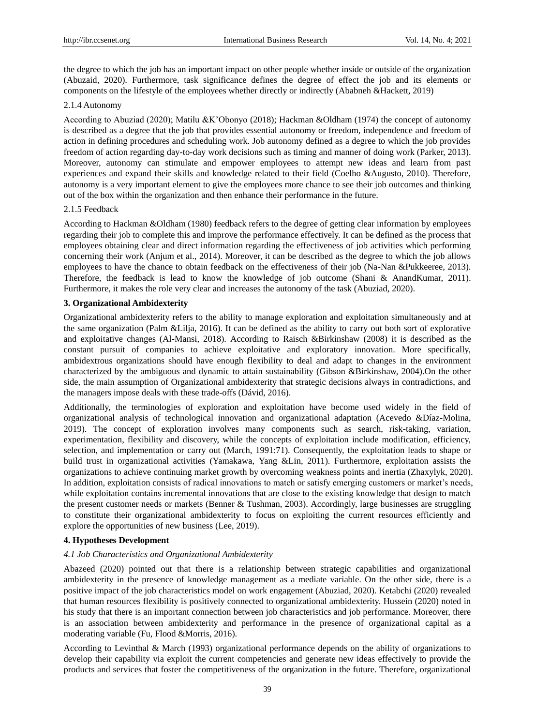the degree to which the job has an important impact on other people whether inside or outside of the organization (Abuzaid, 2020). Furthermore, task significance defines the degree of effect the job and its elements or components on the lifestyle of the employees whether directly or indirectly (Ababneh &Hackett, 2019)

## 2.1.4 Autonomy

According to Abuziad (2020); Matilu &K'Obonyo (2018); Hackman &Oldham (1974) the concept of autonomy is described as a degree that the job that provides essential autonomy or freedom, independence and freedom of action in defining procedures and scheduling work. Job autonomy defined as a degree to which the job provides freedom of action regarding day-to-day work decisions such as timing and manner of doing work (Parker, 2013). Moreover, autonomy can stimulate and empower employees to attempt new ideas and learn from past experiences and expand their skills and knowledge related to their field (Coelho &Augusto, 2010). Therefore, autonomy is a very important element to give the employees more chance to see their job outcomes and thinking out of the box within the organization and then enhance their performance in the future.

## 2.1.5 Feedback

According to Hackman &Oldham (1980) feedback refers to the degree of getting clear information by employees regarding their job to complete this and improve the performance effectively. It can be defined as the process that employees obtaining clear and direct information regarding the effectiveness of job activities which performing concerning their work (Anjum et al., 2014). Moreover, it can be described as the degree to which the job allows employees to have the chance to obtain feedback on the effectiveness of their job (Na-Nan &Pukkeeree, 2013). Therefore, the feedback is lead to know the knowledge of job outcome (Shani & AnandKumar, 2011). Furthermore, it makes the role very clear and increases the autonomy of the task (Abuziad, 2020).

## **3. Organizational Ambidexterity**

Organizational ambidexterity refers to the ability to manage exploration and exploitation simultaneously and at the same organization (Palm &Lilja, 2016). It can be defined as the ability to carry out both sort of explorative and exploitative changes (Al-Mansi, 2018). According to Raisch &Birkinshaw (2008) it is described as the constant pursuit of companies to achieve exploitative and exploratory innovation. More specifically, ambidextrous organizations should have enough flexibility to deal and adapt to changes in the environment characterized by the ambiguous and dynamic to attain sustainability (Gibson &Birkinshaw, 2004).On the other side, the main assumption of Organizational ambidexterity that strategic decisions always in contradictions, and the managers impose deals with these trade-offs (D ávid, 2016).

Additionally, the terminologies of exploration and exploitation have become used widely in the field of organizational analysis of technological innovation and organizational adaptation (Acevedo &Díaz-Molina, 2019). The concept of exploration involves many components such as search, risk-taking, variation, experimentation, flexibility and discovery, while the concepts of exploitation include modification, efficiency, selection, and implementation or carry out (March, 1991:71). Consequently, the exploitation leads to shape or build trust in organizational activities (Yamakawa, Yang &Lin, 2011). Furthermore, exploitation assists the organizations to achieve continuing market growth by overcoming weakness points and inertia (Zhaxylyk, 2020). In addition, exploitation consists of radical innovations to match or satisfy emerging customers or market's needs, while exploitation contains incremental innovations that are close to the existing knowledge that design to match the present customer needs or markets (Benner & Tushman, 2003). Accordingly, large businesses are struggling to constitute their organizational ambidexterity to focus on exploiting the current resources efficiently and explore the opportunities of new business (Lee, 2019).

## **4. Hypotheses Development**

## *4.1 Job Characteristics and Organizational Ambidexterity*

Abazeed (2020) pointed out that there is a relationship between strategic capabilities and organizational ambidexterity in the presence of knowledge management as a mediate variable. On the other side, there is a positive impact of the job characteristics model on work engagement (Abuziad, 2020). Ketabchi (2020) revealed that human resources flexibility is positively connected to organizational ambidexterity. Hussein (2020) noted in his study that there is an important connection between job characteristics and job performance. Moreover, there is an association between ambidexterity and performance in the presence of organizational capital as a moderating variable (Fu, Flood &Morris, 2016).

According to Levinthal & March (1993) organizational performance depends on the ability of organizations to develop their capability via exploit the current competencies and generate new ideas effectively to provide the products and services that foster the competitiveness of the organization in the future. Therefore, organizational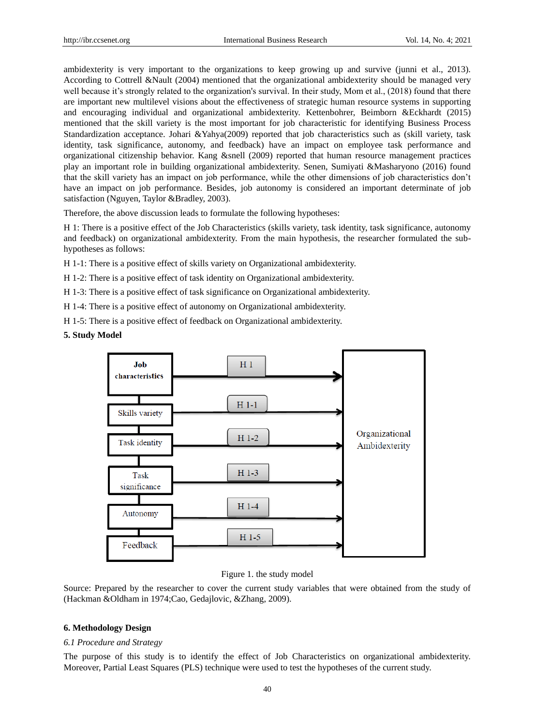ambidexterity is very important to the organizations to keep growing up and survive (junni et al., 2013). According to Cottrell &Nault (2004) mentioned that the organizational ambidexterity should be managed very well because it's strongly related to the organization's survival. In their study, Mom et al., (2018) found that there are important new multilevel visions about the effectiveness of strategic human resource systems in supporting and encouraging individual and organizational ambidexterity. Kettenbohrer, Beimborn &Eckhardt (2015) mentioned that the skill variety is the most important for job characteristic for identifying Business Process Standardization acceptance. Johari &Yahya(2009) reported that job characteristics such as (skill variety, task identity, task significance, autonomy, and feedback) have an impact on employee task performance and organizational citizenship behavior. Kang &snell (2009) reported that human resource management practices play an important role in building organizational ambidexterity. Senen, Sumiyati &Masharyono (2016) found that the skill variety has an impact on job performance, while the other dimensions of job characteristics don't have an impact on job performance. Besides, job autonomy is considered an important determinate of job satisfaction (Nguyen, Taylor &Bradley, 2003).

Therefore, the above discussion leads to formulate the following hypotheses:

H 1: There is a positive effect of the Job Characteristics (skills variety, task identity, task significance, autonomy and feedback) on organizational ambidexterity. From the main hypothesis, the researcher formulated the subhypotheses as follows:

H 1-1: There is a positive effect of skills variety on Organizational ambidexterity.

H 1-2: There is a positive effect of task identity on Organizational ambidexterity.

H 1-3: There is a positive effect of task significance on Organizational ambidexterity.

H 1-4: There is a positive effect of autonomy on Organizational ambidexterity.

H 1-5: There is a positive effect of feedback on Organizational ambidexterity.

## **5. Study Model**



## Figure 1. the study model

Source: Prepared by the researcher to cover the current study variables that were obtained from the study of (Hackman &Oldham in 1974;Cao, Gedajlovic, &Zhang, 2009).

## **6. Methodology Design**

#### *6.1 Procedure and Strategy*

The purpose of this study is to identify the effect of Job Characteristics on organizational ambidexterity. Moreover, Partial Least Squares (PLS) technique were used to test the hypotheses of the current study.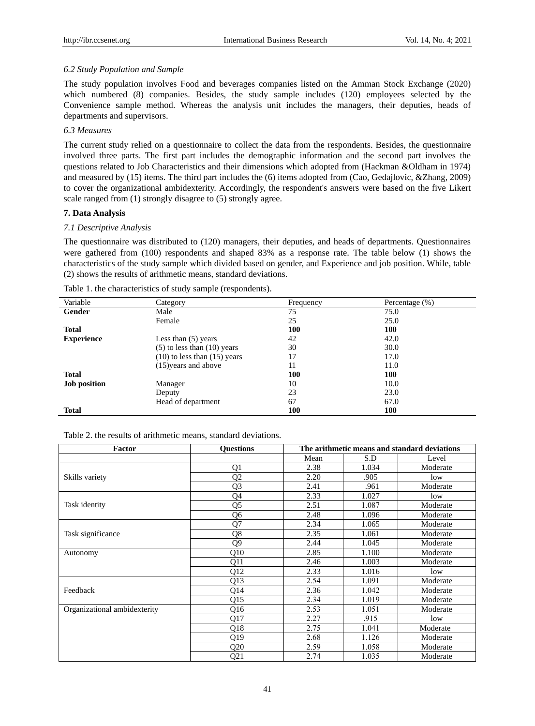## *6.2 Study Population and Sample*

The study population involves Food and beverages companies listed on the Amman Stock Exchange (2020) which numbered (8) companies. Besides, the study sample includes (120) employees selected by the Convenience sample method. Whereas the analysis unit includes the managers, their deputies, heads of departments and supervisors.

## *6.3 Measures*

The current study relied on a questionnaire to collect the data from the respondents. Besides, the questionnaire involved three parts. The first part includes the demographic information and the second part involves the questions related to Job Characteristics and their dimensions which adopted from (Hackman &Oldham in 1974) and measured by (15) items. The third part includes the (6) items adopted from (Cao, Gedajlovic, &Zhang, 2009) to cover the organizational ambidexterity. Accordingly, the respondent's answers were based on the five Likert scale ranged from (1) strongly disagree to (5) strongly agree.

# **7. Data Analysis**

## *7.1 Descriptive Analysis*

The questionnaire was distributed to (120) managers, their deputies, and heads of departments. Questionnaires were gathered from (100) respondents and shaped 83% as a response rate. The table below (1) shows the characteristics of the study sample which divided based on gender, and Experience and job position. While, table (2) shows the results of arithmetic means, standard deviations.

| Variable            | Category                         | Frequency | Percentage (%) |
|---------------------|----------------------------------|-----------|----------------|
| Gender              | Male                             | 75        | 75.0           |
|                     | Female                           | 25        | 25.0           |
| <b>Total</b>        |                                  | 100       | 100            |
| <b>Experience</b>   | Less than $(5)$ years            | 42        | 42.0           |
|                     | $(5)$ to less than $(10)$ years  | 30        | 30.0           |
|                     | $(10)$ to less than $(15)$ years | 17        | 17.0           |
|                     | (15) years and above             | 11        | 11.0           |
| <b>Total</b>        |                                  | 100       | 100            |
| <b>Job position</b> | Manager                          | 10        | 10.0           |
|                     | Deputy                           | 23        | 23.0           |
|                     | Head of department               | 67        | 67.0           |
| <b>Total</b>        |                                  | 100       | 100            |

Table 1. the characteristics of study sample (respondents).

Table 2. the results of arithmetic means, standard deviations.

| Factor                       | <b>Ouestions</b> | The arithmetic means and standard deviations |       |          |  |
|------------------------------|------------------|----------------------------------------------|-------|----------|--|
|                              |                  | Mean                                         | S.D   | Level    |  |
|                              | Q1               | 2.38                                         | 1.034 | Moderate |  |
| Skills variety               | Q2               | 2.20                                         | .905  | low      |  |
|                              | Q <sub>3</sub>   | 2.41                                         | .961  | Moderate |  |
|                              | Q4               | 2.33                                         | 1.027 | low      |  |
| Task identity                | Q5               | 2.51                                         | 1.087 | Moderate |  |
|                              | Q6               | 2.48                                         | 1.096 | Moderate |  |
|                              | Q7               | 2.34                                         | 1.065 | Moderate |  |
| Task significance            | Q8               | 2.35                                         | 1.061 | Moderate |  |
|                              | Q9               | 2.44                                         | 1.045 | Moderate |  |
| Autonomy                     | Q10              | 2.85                                         | 1.100 | Moderate |  |
|                              | Q11              | 2.46                                         | 1.003 | Moderate |  |
|                              | Q12              | 2.33                                         | 1.016 | low      |  |
|                              | Q13              | 2.54                                         | 1.091 | Moderate |  |
| Feedback                     | Q14              | 2.36                                         | 1.042 | Moderate |  |
|                              | Q15              | 2.34                                         | 1.019 | Moderate |  |
| Organizational ambidexterity | Q16              | 2.53                                         | 1.051 | Moderate |  |
|                              | Q17              | 2.27                                         | .915  | low      |  |
|                              | Q18              | 2.75                                         | 1.041 | Moderate |  |
|                              | Q19              | 2.68                                         | 1.126 | Moderate |  |
|                              | Q20              | 2.59                                         | 1.058 | Moderate |  |
|                              | Q <sub>21</sub>  | 2.74                                         | 1.035 | Moderate |  |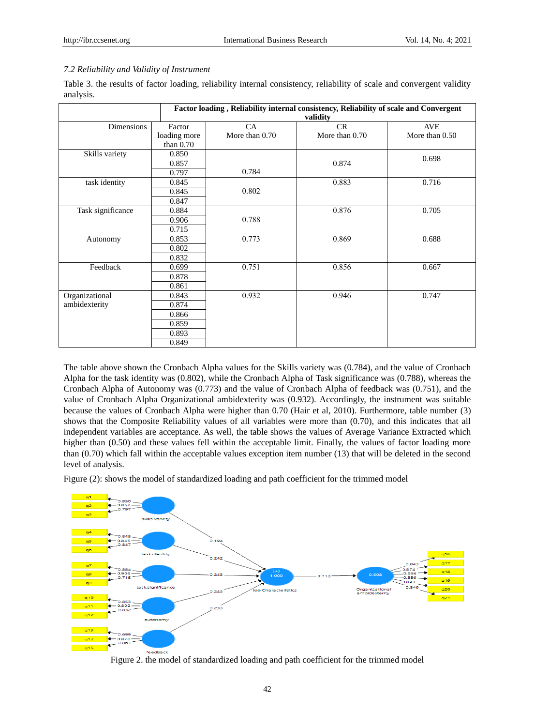# *7.2 Reliability and Validity of Instrument*

Table 3. the results of factor loading, reliability internal consistency, reliability of scale and convergent validity analysis.

| Factor loading, Reliability internal consistency, Reliability of scale and Convergent |              |                |                |                |  |  |  |
|---------------------------------------------------------------------------------------|--------------|----------------|----------------|----------------|--|--|--|
|                                                                                       |              |                | validity       |                |  |  |  |
| <b>Dimensions</b>                                                                     | Factor       | CA             | CR             | <b>AVE</b>     |  |  |  |
|                                                                                       | loading more | More than 0.70 | More than 0.70 | More than 0.50 |  |  |  |
|                                                                                       | than $0.70$  |                |                |                |  |  |  |
| Skills variety                                                                        | 0.850        |                |                | 0.698          |  |  |  |
|                                                                                       | 0.857        |                | 0.874          |                |  |  |  |
|                                                                                       | 0.797        | 0.784          |                |                |  |  |  |
| task identity                                                                         | 0.845        |                | 0.883          | 0.716          |  |  |  |
|                                                                                       | 0.845        | 0.802          |                |                |  |  |  |
|                                                                                       | 0.847        |                |                |                |  |  |  |
| Task significance                                                                     | 0.884        |                | 0.876          | 0.705          |  |  |  |
|                                                                                       | 0.906        | 0.788          |                |                |  |  |  |
|                                                                                       | 0.715        |                |                |                |  |  |  |
| Autonomy                                                                              | 0.853        | 0.773          | 0.869          | 0.688          |  |  |  |
|                                                                                       | 0.802        |                |                |                |  |  |  |
|                                                                                       | 0.832        |                |                |                |  |  |  |
| Feedback                                                                              | 0.699        | 0.751          | 0.856          | 0.667          |  |  |  |
|                                                                                       | 0.878        |                |                |                |  |  |  |
|                                                                                       | 0.861        |                |                |                |  |  |  |
| Organizational                                                                        | 0.843        | 0.932          | 0.946          | 0.747          |  |  |  |
| ambidexterity                                                                         | 0.874        |                |                |                |  |  |  |
|                                                                                       | 0.866        |                |                |                |  |  |  |
|                                                                                       | 0.859        |                |                |                |  |  |  |
|                                                                                       | 0.893        |                |                |                |  |  |  |
|                                                                                       | 0.849        |                |                |                |  |  |  |

The table above shown the Cronbach Alpha values for the Skills variety was (0.784), and the value of Cronbach Alpha for the task identity was (0.802), while the Cronbach Alpha of Task significance was (0.788), whereas the Cronbach Alpha of Autonomy was (0.773) and the value of Cronbach Alpha of feedback was (0.751), and the value of Cronbach Alpha Organizational ambidexterity was (0.932). Accordingly, the instrument was suitable because the values of Cronbach Alpha were higher than 0.70 (Hair et al, 2010). Furthermore, table number (3) shows that the Composite Reliability values of all variables were more than (0.70), and this indicates that all independent variables are acceptance. As well, the table shows the values of Average Variance Extracted which higher than (0.50) and these values fell within the acceptable limit. Finally, the values of factor loading more than (0.70) which fall within the acceptable values exception item number (13) that will be deleted in the second level of analysis.

Figure (2): shows the model of standardized loading and path coefficient for the trimmed model



Figure 2. the model of standardized loading and path coefficient for the trimmed model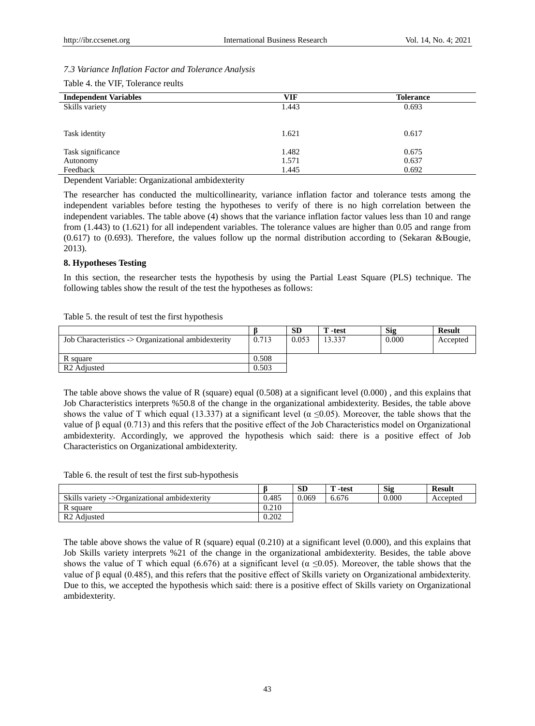## *7.3 Variance Inflation Factor and Tolerance Analysis*

| Table 4. the VIF, Tolerance reults |
|------------------------------------|
|------------------------------------|

| <b>Independent Variables</b> | VIF   | <b>Tolerance</b> |
|------------------------------|-------|------------------|
| Skills variety               | 1.443 | 0.693            |
|                              |       |                  |
| Task identity                | 1.621 | 0.617            |
| Task significance            | 1.482 | 0.675            |
| Autonomy                     | 1.571 | 0.637            |
| Feedback                     | 1.445 | 0.692            |
| $\sim$ $\sim$ $\sim$ $\sim$  |       |                  |

Dependent Variable: Organizational ambidexterity

The researcher has conducted the multicollinearity, variance inflation factor and tolerance tests among the independent variables before testing the hypotheses to verify of there is no high correlation between the independent variables. The table above (4) shows that the variance inflation factor values less than 10 and range from (1.443) to (1.621) for all independent variables. The tolerance values are higher than 0.05 and range from (0.617) to (0.693). Therefore, the values follow up the normal distribution according to (Sekaran &Bougie, 2013).

## **8. Hypotheses Testing**

In this section, the researcher tests the hypothesis by using the Partial Least Square (PLS) technique. The following tables show the result of the test the hypotheses as follows:

Table 5. the result of test the first hypothesis

|                                                     |       | <b>SD</b> | ' -test | Sig   | <b>Result</b> |
|-----------------------------------------------------|-------|-----------|---------|-------|---------------|
| Job Characteristics -> Organizational ambidexterity | 0.713 | 0.053     | 13.337  | 0.000 | Accepted      |
|                                                     |       |           |         |       |               |
| R square                                            | 0.508 |           |         |       |               |
| R <sub>2</sub> Adjusted                             | 0.503 |           |         |       |               |

The table above shows the value of R (square) equal  $(0.508)$  at a significant level  $(0.000)$ , and this explains that Job Characteristics interprets %50.8 of the change in the organizational ambidexterity. Besides, the table above shows the value of T which equal (13.337) at a significant level ( $\alpha \le 0.05$ ). Moreover, the table shows that the value of β equal (0.713) and this refers that the positive effect of the Job Characteristics model on Organizational ambidexterity. Accordingly, we approved the hypothesis which said: there is a positive effect of Job Characteristics on Organizational ambidexterity.

Table 6. the result of test the first sub-hypothesis

|                                               |       | <b>SD</b> | -test | <b>Sig</b> | <b>Result</b> |
|-----------------------------------------------|-------|-----------|-------|------------|---------------|
| Skills variety ->Organizational ambidexterity | 0.485 | 0.069     | 6.676 | 0.000      | Accepted      |
| R square                                      | 0.210 |           |       |            |               |
| R <sub>2</sub> Adjusted                       | 0.202 |           |       |            |               |

The table above shows the value of R (square) equal (0.210) at a significant level (0.000), and this explains that Job Skills variety interprets %21 of the change in the organizational ambidexterity. Besides, the table above shows the value of T which equal (6.676) at a significant level ( $\alpha \le 0.05$ ). Moreover, the table shows that the value of β equal (0.485), and this refers that the positive effect of Skills variety on Organizational ambidexterity. Due to this, we accepted the hypothesis which said: there is a positive effect of Skills variety on Organizational ambidexterity.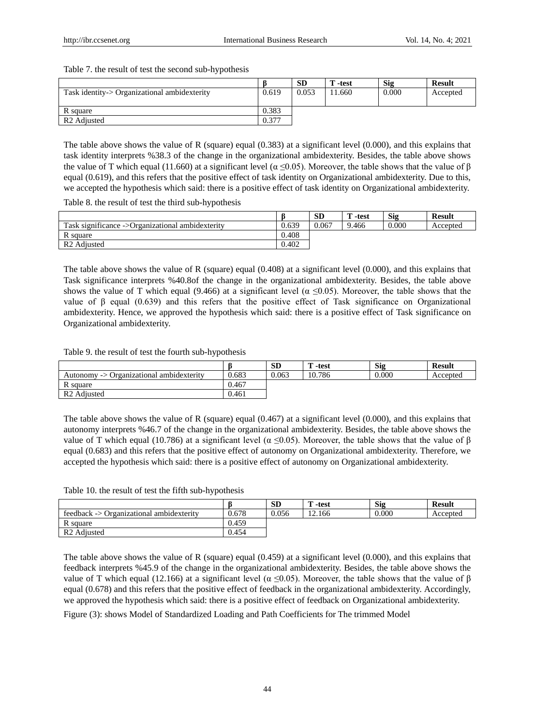Table 7. the result of test the second sub-hypothesis

|                                              |       | <b>SD</b> | `-test | <b>Sig</b> | <b>Result</b> |
|----------------------------------------------|-------|-----------|--------|------------|---------------|
| Task identity-> Organizational ambidexterity | 0.619 | 0.053     | 1.660  | 0.000      | Accepted      |
|                                              |       |           |        |            |               |
| R square                                     | 0.383 |           |        |            |               |
| R <sub>2</sub> Adjusted                      | 0.377 |           |        |            |               |

The table above shows the value of R (square) equal (0.383) at a significant level (0.000), and this explains that task identity interprets %38.3 of the change in the organizational ambidexterity. Besides, the table above shows the value of T which equal (11.660) at a significant level ( $\alpha \le 0.05$ ). Moreover, the table shows that the value of β equal (0.619), and this refers that the positive effect of task identity on Organizational ambidexterity. Due to this, we accepted the hypothesis which said: there is a positive effect of task identity on Organizational ambidexterity.

Table 8. the result of test the third sub-hypothesis

|                                                  |       | <b>SD</b> | m<br>-test | Sig   | <b>Result</b> |
|--------------------------------------------------|-------|-----------|------------|-------|---------------|
| Task significance ->Organizational ambidexterity | 0.639 | 0.067     | 9.466      | 0.000 | Accepted      |
| R square                                         | 0.408 |           |            |       |               |
| R <sub>2</sub> Adjusted                          | 0.402 |           |            |       |               |

The table above shows the value of R (square) equal (0.408) at a significant level (0.000), and this explains that Task significance interprets %40.8of the change in the organizational ambidexterity. Besides, the table above shows the value of T which equal (9.466) at a significant level ( $\alpha \le 0.05$ ). Moreover, the table shows that the value of β equal (0.639) and this refers that the positive effect of Task significance on Organizational ambidexterity. Hence, we approved the hypothesis which said: there is a positive effect of Task significance on Organizational ambidexterity.

Table 9. the result of test the fourth sub-hypothesis

|                                          |       | <b>SD</b> | <b>TILE</b><br>-test | <b>Sig</b> | <b>Result</b> |
|------------------------------------------|-------|-----------|----------------------|------------|---------------|
| Autonomy -> Organizational ambidexterity | 0.683 | 0.063     | 10.786               | 0.000      | Accepted      |
| R square                                 | 0.467 |           |                      |            |               |
| R <sub>2</sub> Adjusted                  | 0.461 |           |                      |            |               |

The table above shows the value of R (square) equal (0.467) at a significant level (0.000), and this explains that autonomy interprets %46.7 of the change in the organizational ambidexterity. Besides, the table above shows the value of T which equal (10.786) at a significant level ( $\alpha \le 0.05$ ). Moreover, the table shows that the value of β equal (0.683) and this refers that the positive effect of autonomy on Organizational ambidexterity. Therefore, we accepted the hypothesis which said: there is a positive effect of autonomy on Organizational ambidexterity.

Table 10. the result of test the fifth sub-hypothesis

|                                          |       | <b>SD</b> | <b>TT</b><br>-test | <b>Sig</b> | <b>Result</b> |
|------------------------------------------|-------|-----------|--------------------|------------|---------------|
| feedback -> Organizational ambidexterity | 0.678 | 0.056     | 12.166             | 0.000      | Accepted      |
| R square                                 | 0.459 |           |                    |            |               |
| R <sub>2</sub> Adjusted                  | 0.454 |           |                    |            |               |

The table above shows the value of R (square) equal (0.459) at a significant level (0.000), and this explains that feedback interprets %45.9 of the change in the organizational ambidexterity. Besides, the table above shows the value of T which equal (12.166) at a significant level ( $\alpha \le 0.05$ ). Moreover, the table shows that the value of β equal (0.678) and this refers that the positive effect of feedback in the organizational ambidexterity. Accordingly, we approved the hypothesis which said: there is a positive effect of feedback on Organizational ambidexterity.

Figure (3): shows Model of Standardized Loading and Path Coefficients for The trimmed Model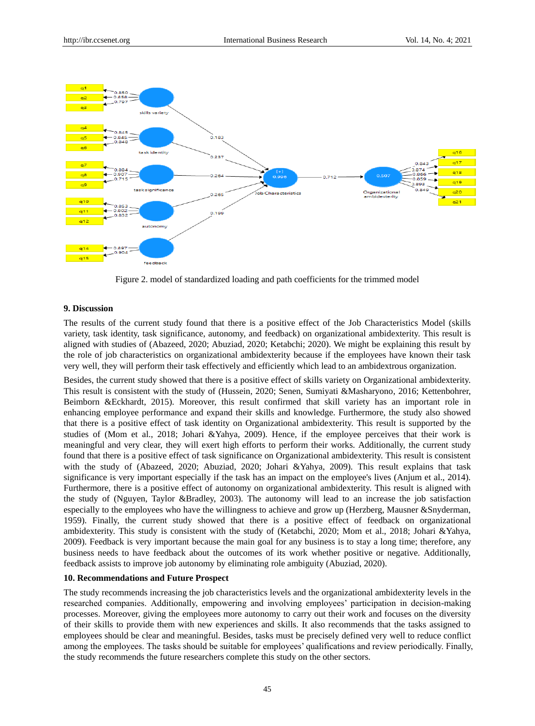

Figure 2. model of standardized loading and path coefficients for the trimmed model

## **9. Discussion**

The results of the current study found that there is a positive effect of the Job Characteristics Model (skills variety, task identity, task significance, autonomy, and feedback) on organizational ambidexterity. This result is aligned with studies of (Abazeed, 2020; Abuziad, 2020; Ketabchi; 2020). We might be explaining this result by the role of job characteristics on organizational ambidexterity because if the employees have known their task very well, they will perform their task effectively and efficiently which lead to an ambidextrous organization.

Besides, the current study showed that there is a positive effect of skills variety on Organizational ambidexterity. This result is consistent with the study of (Hussein, 2020; Senen, Sumiyati &Masharyono, 2016; Kettenbohrer, Beimborn &Eckhardt, 2015). Moreover, this result confirmed that skill variety has an important role in enhancing employee performance and expand their skills and knowledge. Furthermore, the study also showed that there is a positive effect of task identity on Organizational ambidexterity. This result is supported by the studies of (Mom et al., 2018; Johari &Yahya, 2009). Hence, if the employee perceives that their work is meaningful and very clear, they will exert high efforts to perform their works. Additionally, the current study found that there is a positive effect of task significance on Organizational ambidexterity. This result is consistent with the study of (Abazeed, 2020; Abuziad, 2020; Johari &Yahya, 2009). This result explains that task significance is very important especially if the task has an impact on the employee's lives (Anjum et al., 2014). Furthermore, there is a positive effect of autonomy on organizational ambidexterity. This result is aligned with the study of (Nguyen, Taylor &Bradley, 2003). The autonomy will lead to an increase the job satisfaction especially to the employees who have the willingness to achieve and grow up (Herzberg, Mausner &Snyderman, 1959). Finally, the current study showed that there is a positive effect of feedback on organizational ambidexterity. This study is consistent with the study of (Ketabchi, 2020; Mom et al., 2018; Johari &Yahya, 2009). Feedback is very important because the main goal for any business is to stay a long time; therefore, any business needs to have feedback about the outcomes of its work whether positive or negative. Additionally, feedback assists to improve job autonomy by eliminating role ambiguity (Abuziad, 2020).

## **10. Recommendations and Future Prospect**

The study recommends increasing the job characteristics levels and the organizational ambidexterity levels in the researched companies. Additionally, empowering and involving employees' participation in decision-making processes. Moreover, giving the employees more autonomy to carry out their work and focuses on the diversity of their skills to provide them with new experiences and skills. It also recommends that the tasks assigned to employees should be clear and meaningful. Besides, tasks must be precisely defined very well to reduce conflict among the employees. The tasks should be suitable for employees' qualifications and review periodically. Finally, the study recommends the future researchers complete this study on the other sectors.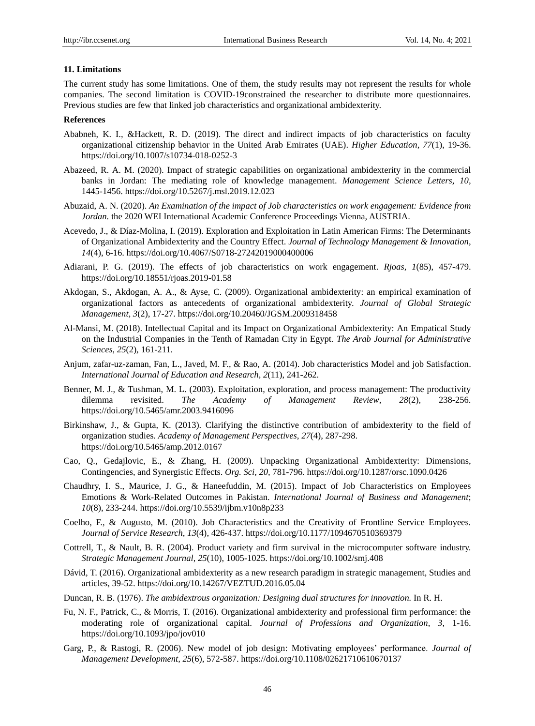## **11. Limitations**

The current study has some limitations. One of them, the study results may not represent the results for whole companies. The second limitation is COVID-19constrained the researcher to distribute more questionnaires. Previous studies are few that linked job characteristics and organizational ambidexterity.

## **References**

- Ababneh, K. I., &Hackett, R. D. (2019). The direct and indirect impacts of job characteristics on faculty organizational citizenship behavior in the United Arab Emirates (UAE). *Higher Education, 77*(1), 19-36. https://doi.org/10.1007/s10734-018-0252-3
- Abazeed, R. A. M. (2020). Impact of strategic capabilities on organizational ambidexterity in the commercial banks in Jordan: The mediating role of knowledge management. *Management Science Letters*, *10,* 1445-1456. https://doi.org/10.5267/j.msl.2019.12.023
- Abuzaid, A. N. (2020). *An Examination of the impact of Job characteristics on work engagement: Evidence from Jordan.* the 2020 WEI International Academic Conference Proceedings Vienna, AUSTRIA.
- Acevedo, J., & Díaz-Molina, I. (2019). Exploration and Exploitation in Latin American Firms: The Determinants of Organizational Ambidexterity and the Country Effect. *Journal of Technology Management & Innovation*, *14*(4), 6-16. https://doi.org/10.4067/S0718-27242019000400006
- Adiarani, P. G. (2019). The effects of job characteristics on work engagement. *Rjoas, 1*(85), 457-479. https://doi.org/10.18551/rjoas.2019-01.58
- Akdogan, S., Akdogan, A. A., & Ayse, C. (2009). Organizational ambidexterity: an empirical examination of organizational factors as antecedents of organizational ambidexterity. *Journal of Global Strategic Management*, *3*(2), 17-27. https://doi.org/10.20460/JGSM.2009318458
- Al-Mansi, M. (2018). Intellectual Capital and its Impact on Organizational Ambidexterity: An Empatical Study on the Industrial Companies in the Tenth of Ramadan City in Egypt. *The Arab Journal for Administrative Sciences*, *25*(2), 161-211.
- Anjum, zafar-uz-zaman, Fan, L., Javed, M. F., & Rao, A. (2014). Job characteristics Model and job Satisfaction. *International Journal of Education and Research*, *2*(11), 241-262.
- Benner, M. J., & Tushman, M. L. (2003). Exploitation, exploration, and process management: The productivity dilemma revisited. *The Academy of Management Review*, *28*(2), 238-256. https://doi.org/10.5465/amr.2003.9416096
- Birkinshaw, J., & Gupta, K. (2013). Clarifying the distinctive contribution of ambidexterity to the field of organization studies. *Academy of Management Perspectives*, *27*(4), 287-298. <https://doi.org/10.5465/amp.2012.0167>
- Cao, Q., Gedajlovic, E., & Zhang, H. (2009). Unpacking Organizational Ambidexterity: Dimensions, Contingencies, and Synergistic Effects. *Org. Sci, 20,* 781-796. https://doi.org/10.1287/orsc.1090.0426
- Chaudhry, I. S., Maurice, J. G., & Haneefuddin, M. (2015). Impact of Job Characteristics on Employees Emotions & Work-Related Outcomes in Pakistan. *International Journal of Business and Management*; *10*(8), 233-244. https://doi.org/10.5539/ijbm.v10n8p233
- Coelho, F., & Augusto, M. (2010). Job Characteristics and the Creativity of Frontline Service Employees. *Journal of Service Research*, *13*(4), 426-437. https://doi.org/10.1177/1094670510369379
- Cottrell, T., & Nault, B. R. (2004). Product variety and firm survival in the microcomputer software industry. *Strategic Management Journal*, *25*(10), 1005-1025. https://doi.org/10.1002/smj.408
- Dávid, T. (2016). Organizational ambidexterity as a new research paradigm in strategic management, Studies and articles, 39-52. https://doi.org/10.14267/VEZTUD.2016.05.04
- Duncan, R. B. (1976). *The ambidextrous organization: Designing dual structures for innovation.* In R. H.
- Fu, N. F., Patrick, C., & Morris, T. (2016). Organizational ambidexterity and professional firm performance: the moderating role of organizational capital. *Journal of Professions and Organization*, *3,* 1-16. https://doi.org/10.1093/jpo/jov010
- Garg, P., & Rastogi, R. (2006). New model of job design: Motivating employees' performance. *Journal of Management Development, 25*(6), 572-587. https://doi.org/10.1108/02621710610670137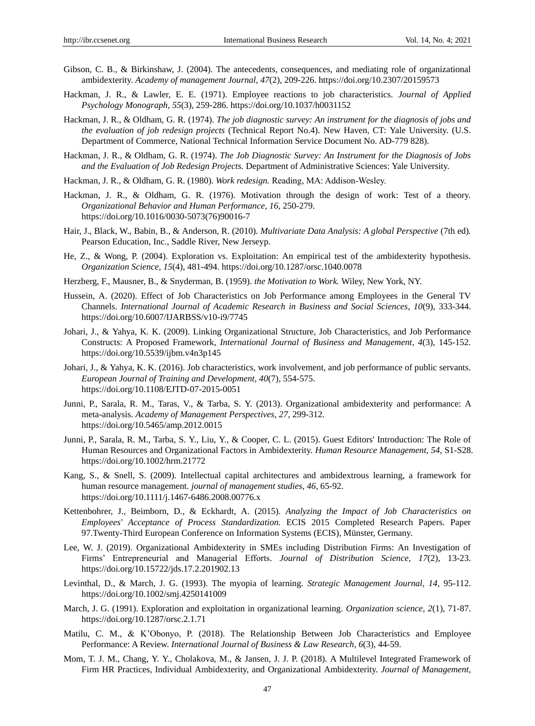- Gibson, C. B., & Birkinshaw, J. (2004). The antecedents, consequences, and mediating role of organizational ambidexterity. *Academy of management Journal*, *47*(2), 209-226. https://doi.org/10.2307/20159573
- Hackman, J. R., & Lawler, E. E. (1971). Employee reactions to job characteristics. *Journal of Applied Psychology Monograph*, *55*(3), 259-286. https://doi.org/10.1037/h0031152
- Hackman, J. R., & Oldham, G. R. (1974). *The job diagnostic survey: An instrument for the diagnosis of jobs and the evaluation of job redesign projects* (Technical Report No.4). New Haven, CT: Yale University. (U.S. Department of Commerce, National Technical Information Service Document No. AD-779 828).
- Hackman, J. R., & Oldham, G. R. (1974). *The Job Diagnostic Survey: An Instrument for the Diagnosis of Jobs and the Evaluation of Job Redesign Projects.* Department of Administrative Sciences: Yale University.
- Hackman, J. R., & Oldham, G. R. (1980). *Work redesign.* Reading, MA: Addison‐Wesley.
- Hackman, J. R., & Oldham, G. R. (1976). Motivation through the design of work: Test of a theory. *Organizational Behavior and Human Performance, 16,* 250-279. https://doi.org/10.1016/0030-5073(76)90016-7
- Hair, J., Black, W., Babin, B., & Anderson, R. (2010). *Multivariate Data Analysis: A global Perspective* (7th ed)*.* Pearson Education, Inc., Saddle River, New Jerseyp.
- He, Z., & Wong, P. (2004). Exploration vs. Exploitation: An empirical test of the ambidexterity hypothesis. *Organization Science, 15*(4), 481-494. https://doi.org/10.1287/orsc.1040.0078
- Herzberg, F., Mausner, B., & Snyderman, B. (1959). *the Motivation to Work.* Wiley, New York, NY.
- Hussein, A. (2020). Effect of Job Characteristics on Job Performance among Employees in the General TV Channels. *International Journal of Academic Research in Business and Social Sciences*, *10*(9), 333-344. https://doi.org/10.6007/IJARBSS/v10-i9/7745
- Johari, J., & Yahya, K. K. (2009). Linking Organizational Structure, Job Characteristics, and Job Performance Constructs: A Proposed Framework, *International Journal of Business and Management*, *4*(3), 145-152. https://doi.org/10.5539/ijbm.v4n3p145
- Johari, J., & Yahya, K. K. (2016). Job characteristics, work involvement, and job performance of public servants. *European Journal of Training and Development*, *40*(7), 554-575. https://doi.org/10.1108/EJTD-07-2015-0051
- Junni, P., Sarala, R. M., Taras, V., & Tarba, S. Y. (2013). Organizational ambidexterity and performance: A meta-analysis. *Academy of Management Perspectives*, *27,* 299-312. https://doi.org/10.5465/amp.2012.0015
- Junni, P., Sarala, R. M., Tarba, S. Y., Liu, Y., & Cooper, C. L. (2015). Guest Editors' Introduction: The Role of Human Resources and Organizational Factors in Ambidexterity. *Human Resource Management, 54,* S1-S28. https://doi.org/10.1002/hrm.21772
- Kang, S., & Snell, S. (2009). Intellectual capital architectures and ambidextrous learning, a framework for human resource management. *journal of management studies*, *46,* 65-92. https://doi.org/10.1111/j.1467-6486.2008.00776.x
- Kettenbohrer, J., Beimborn, D., & Eckhardt, A. (2015). *Analyzing the Impact of Job Characteristics on Employees' Acceptance of Process Standardization.* ECIS 2015 Completed Research Papers. Paper 97.Twenty-Third European Conference on Information Systems (ECIS), Münster, Germany.
- Lee, W. J. (2019). Organizational Ambidexterity in SMEs including Distribution Firms: An Investigation of Firms' Entrepreneurial and Managerial Efforts. *Journal of Distribution Science*, *17*(2), 13-23. https://doi.org/10.15722/jds.17.2.201902.13
- Levinthal, D., & March, J. G. (1993). The myopia of learning. *Strategic Management Journal, 14,* 95-112. https://doi.org/10.1002/smj.4250141009
- March, J. G. (1991). Exploration and exploitation in organizational learning. *Organization science, 2*(1), 71-87. https://doi.org/10.1287/orsc.2.1.71
- Matilu, C. M., & K'Obonyo, P. (2018). The Relationship Between Job Characteristics and Employee Performance: A Review. *International Journal of Business & Law Research*, *6*(3), 44-59.
- Mom, T. J. M., Chang, Y. Y., Cholakova, M., & Jansen, J. J. P. (2018). A Multilevel Integrated Framework of Firm HR Practices, Individual Ambidexterity, and Organizational Ambidexterity. *Journal of Management*,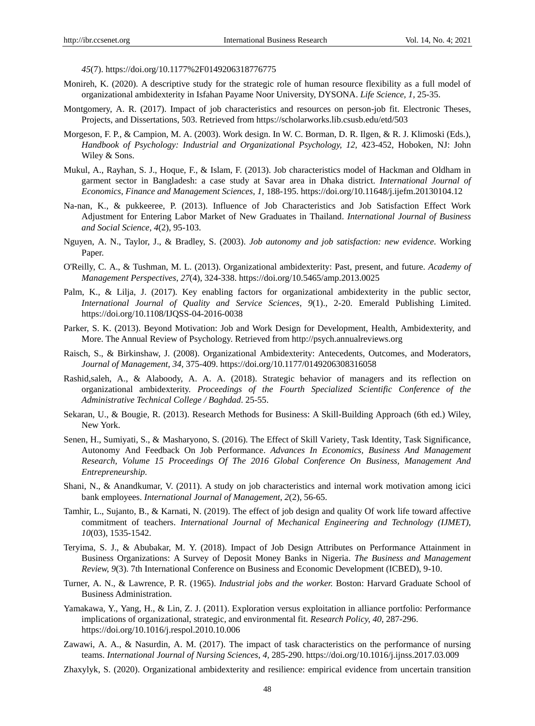*45*(7). <https://doi.org/10.1177%2F0149206318776775>

- Monireh, K. (2020). A descriptive study for the strategic role of human resource flexibility as a full model of organizational ambidexterity in Isfahan Payame Noor University, DYSONA. *Life Science, 1,* 25-35.
- Montgomery, A. R. (2017). Impact of job characteristics and resources on person-job fit. Electronic Theses, Projects, and Dissertations, 503. Retrieved fro[m https://scholarworks.lib.csusb.edu/etd/503](https://scholarworks.lib.csusb.edu/etd/503)
- Morgeson, F. P., & Campion, M. A. (2003). Work design. In W. C. Borman, D. R. Ilgen, & R. J. Klimoski (Eds.), *Handbook of Psychology: Industrial and Organizational Psychology, 12, 423-452, Hoboken, NJ: John* Wiley & Sons.
- Mukul, A., Rayhan, S. J., Hoque, F., & Islam, F. (2013). Job characteristics model of Hackman and Oldham in garment sector in Bangladesh: a case study at Savar area in Dhaka district. *International Journal of Economics*, *Finance and Management Sciences, 1,* 188-195. https://doi.org/10.11648/j.ijefm.20130104.12
- Na-nan, K., & pukkeeree, P. (2013). Influence of Job Characteristics and Job Satisfaction Effect Work Adjustment for Entering Labor Market of New Graduates in Thailand. *International Journal of Business and Social Science*, *4*(2), 95-103.
- Nguyen, A. N., Taylor, J., & Bradley, S. (2003). *Job autonomy and job satisfaction: new evidence.* Working Paper.
- O'Reilly, C. A., & Tushman, M. L. (2013). Organizational ambidexterity: Past, present, and future. *Academy of Management Perspectives*, *27*(4), 324-338.<https://doi.org/10.5465/amp.2013.0025>
- Palm, K., & Lilja, J. (2017). Key enabling factors for organizational ambidexterity in the public sector, *International Journal of Quality and Service Sciences*, *9*(1)., 2-20. Emerald Publishing Limited. <https://doi.org/10.1108/IJQSS-04-2016-0038>
- Parker, S. K. (2013). Beyond Motivation: Job and Work Design for Development, Health, Ambidexterity, and More. The Annual Review of Psychology. Retrieved from [http://psych.annualreviews.org](http://psych.annualreviews.org/)
- Raisch, S., & Birkinshaw, J. (2008). Organizational Ambidexterity: Antecedents, Outcomes, and Moderators, *Journal of Management*, *34,* 375-409.<https://doi.org/10.1177/0149206308316058>
- Rashid,saleh, A., & Alaboody, A. A. A. (2018). Strategic behavior of managers and its reflection on organizational ambidexterity. *Proceedings of the Fourth Specialized Scientific Conference of the Administrative Technical College / Baghdad*. 25-55.
- Sekaran, U., & Bougie, R. (2013). Research Methods for Business: A Skill-Building Approach (6th ed.) Wiley, New York.
- Senen, H., Sumiyati, S., & Masharyono, S. (2016). The Effect of Skill Variety, Task Identity, Task Significance, Autonomy And Feedback On Job Performance. *Advances In Economics, Business And Management Research, Volume 15 Proceedings Of The 2016 Global Conference On Business, Management And Entrepreneurship.*
- Shani, N., & Anandkumar, V. (2011). A study on job characteristics and internal work motivation among icici bank employees. *International Journal of Management*, *2*(2), 56-65.
- Tamhir, L., Sujanto, B., & Karnati, N. (2019). The effect of job design and quality Of work life toward affective commitment of teachers. *International Journal of Mechanical Engineering and Technology (IJMET)*, *10*(03), 1535-1542.
- Teryima, S. J., & Abubakar, M. Y. (2018). Impact of Job Design Attributes on Performance Attainment in Business Organizations: A Survey of Deposit Money Banks in Nigeria. *The Business and Management Review, 9*(3). 7th International Conference on Business and Economic Development (ICBED), 9-10.
- Turner, A. N., & Lawrence, P. R. (1965). *Industrial jobs and the worker.* Boston: Harvard Graduate School of Business Administration.
- Yamakawa, Y., Yang, H., & Lin, Z. J. (2011). Exploration versus exploitation in alliance portfolio: Performance implications of organizational, strategic, and environmental fit. *Research Policy, 40,* 287-296. https://doi.org/10.1016/j.respol.2010.10.006
- Zawawi, A. A., & Nasurdin, A. M. (2017). The impact of task characteristics on the performance of nursing teams. *International Journal of Nursing Sciences*, *4,* 285-290. https://doi.org/10.1016/j.ijnss.2017.03.009
- Zhaxylyk, S. (2020). Organizational ambidexterity and resilience: empirical evidence from uncertain transition